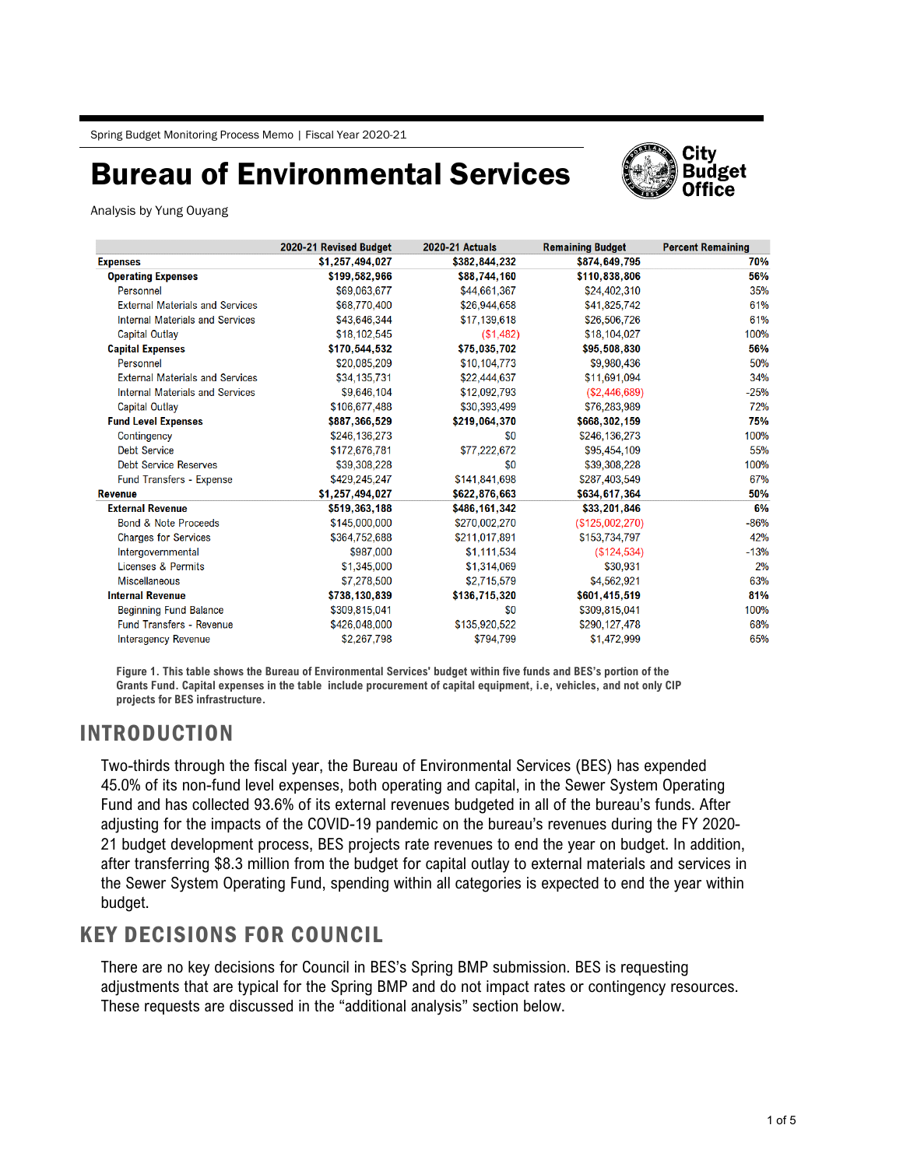# Bureau of Environmental Services



Analysis by Yung Ouyang

|                                        | 2020-21 Revised Budget | <b>2020-21 Actuals</b> | <b>Remaining Budget</b> | <b>Percent Remaining</b> |
|----------------------------------------|------------------------|------------------------|-------------------------|--------------------------|
| <b>Expenses</b>                        | \$1,257,494,027        | \$382,844,232          | \$874,649,795           | 70%                      |
| <b>Operating Expenses</b>              | \$199,582,966          | \$88,744,160           | \$110,838,806           | 56%                      |
| Personnel                              | \$69,063,677           | \$44,661,367           | \$24.402.310            | 35%                      |
| <b>External Materials and Services</b> | \$68,770,400           | \$26,944,658           | \$41,825,742            | 61%                      |
| <b>Internal Materials and Services</b> | \$43,646,344           | \$17,139,618           | \$26,506,726            | 61%                      |
| <b>Capital Outlay</b>                  | \$18,102,545           | (S1, 482)              | \$18,104,027            | 100%                     |
| <b>Capital Expenses</b>                | \$170,544,532          | \$75,035,702           | \$95,508,830            | 56%                      |
| Personnel                              | \$20,085,209           | \$10,104,773           | \$9,980,436             | 50%                      |
| <b>External Materials and Services</b> | \$34,135,731           | \$22,444.637           | \$11,691,094            | 34%                      |
| <b>Internal Materials and Services</b> | \$9,646,104            | \$12,092,793           | (S2, 446, 689)          | $-25%$                   |
| <b>Capital Outlay</b>                  | \$106,677,488          | \$30,393,499           | \$76,283,989            | 72%                      |
| <b>Fund Level Expenses</b>             | \$887,366,529          | \$219,064,370          | \$668,302,159           | 75%                      |
| Contingency                            | \$246,136,273          | \$0                    | \$246,136,273           | 100%                     |
| <b>Debt Service</b>                    | \$172,676,781          | \$77,222,672           | \$95,454,109            | 55%                      |
| <b>Debt Service Reserves</b>           | \$39,308,228           | \$0                    | \$39,308,228            | 100%                     |
| <b>Fund Transfers - Expense</b>        | \$429,245,247          | \$141,841,698          | \$287,403,549           | 67%                      |
| <b>Revenue</b>                         | \$1,257,494,027        | \$622,876,663          | \$634,617,364           | 50%                      |
| <b>External Revenue</b>                | \$519,363,188          | \$486,161,342          | \$33,201,846            | 6%                       |
| <b>Bond &amp; Note Proceeds</b>        | \$145,000,000          | \$270,002,270          | (S125,002,270)          | $-86%$                   |
| <b>Charges for Services</b>            | \$364,752,688          | \$211,017,891          | \$153,734,797           | 42%                      |
| Intergovernmental                      | \$987,000              | \$1,111,534            | (S124, 534)             | $-13%$                   |
| Licenses & Permits                     | \$1,345,000            | \$1,314,069            | \$30,931                | 2%                       |
| <b>Miscellaneous</b>                   | \$7,278,500            | \$2,715,579            | \$4,562,921             | 63%                      |
| <b>Internal Revenue</b>                | \$738,130,839          | \$136,715,320          | \$601,415,519           | 81%                      |
| <b>Beginning Fund Balance</b>          | \$309,815,041          | \$0                    | \$309,815,041           | 100%                     |
| <b>Fund Transfers - Revenue</b>        | \$426,048,000          | \$135,920,522          | \$290,127,478           | 68%                      |
| <b>Interagency Revenue</b>             | \$2,267,798            | \$794,799              | \$1,472,999             | 65%                      |

**Figure 1. This table shows the Bureau of Environmental Services' budget within five funds and BES's portion of the Grants Fund. Capital expenses in the table include procurement of capital equipment, i.e, vehicles, and not only CIP projects for BES infrastructure.**

### INTRODUCTION

Two-thirds through the fiscal year, the Bureau of Environmental Services (BES) has expended 45.0% of its non-fund level expenses, both operating and capital, in the Sewer System Operating Fund and has collected 93.6% of its external revenues budgeted in all of the bureau's funds. After adjusting for the impacts of the COVID-19 pandemic on the bureau's revenues during the FY 2020- 21 budget development process, BES projects rate revenues to end the year on budget. In addition, after transferring \$8.3 million from the budget for capital outlay to external materials and services in the Sewer System Operating Fund, spending within all categories is expected to end the year within budget.

### KEY DECISIONS FOR COUNCIL

There are no key decisions for Council in BES's Spring BMP submission. BES is requesting adjustments that are typical for the Spring BMP and do not impact rates or contingency resources. These requests are discussed in the "additional analysis" section below.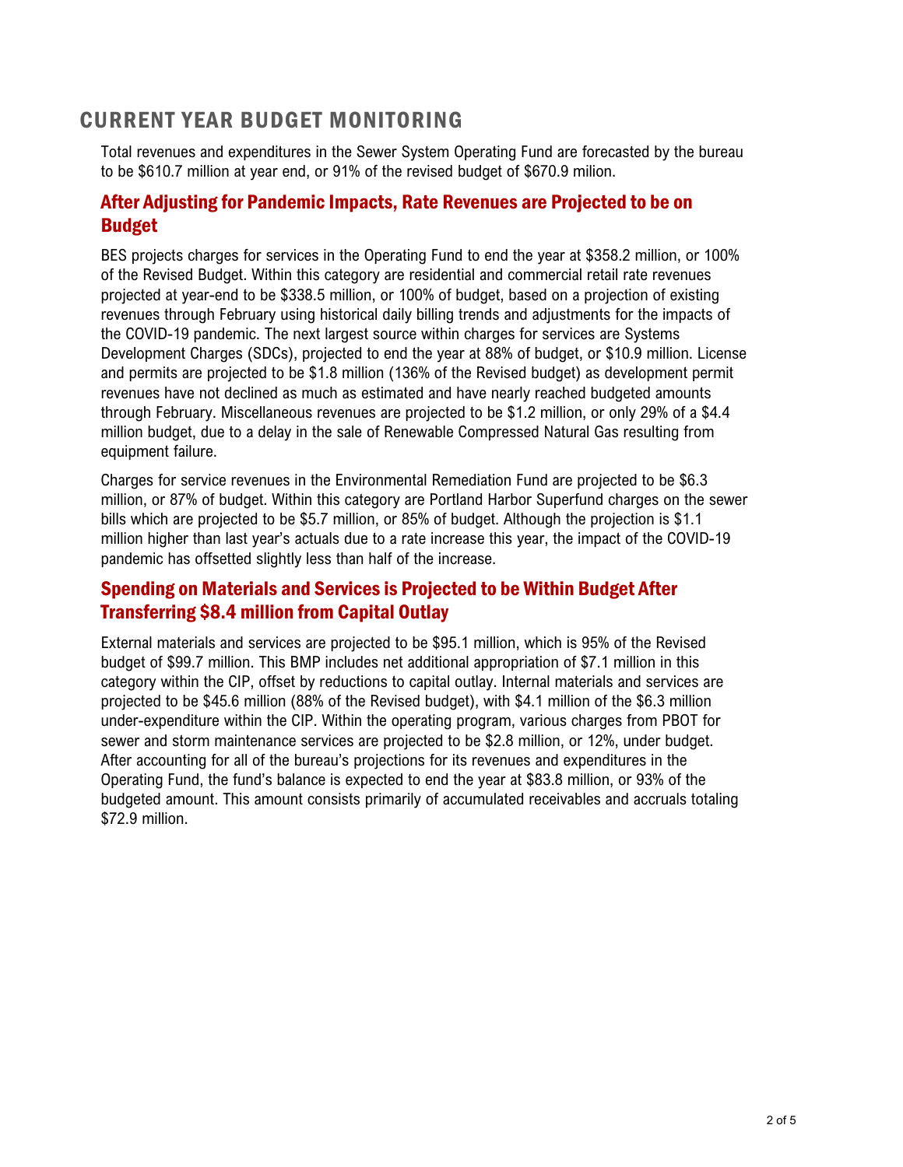### CURRENT YEAR BUDGET MONITORING

Total revenues and expenditures in the Sewer System Operating Fund are forecasted by the bureau to be \$610.7 million at year end, or 91% of the revised budget of \$670.9 milion.

### After Adjusting for Pandemic Impacts, Rate Revenues are Projected to be on Budget

BES projects charges for services in the Operating Fund to end the year at \$358.2 million, or 100% of the Revised Budget. Within this category are residential and commercial retail rate revenues projected at year-end to be \$338.5 million, or 100% of budget, based on a projection of existing revenues through February using historical daily billing trends and adjustments for the impacts of the COVID-19 pandemic. The next largest source within charges for services are Systems Development Charges (SDCs), projected to end the year at 88% of budget, or \$10.9 million. License and permits are projected to be \$1.8 million (136% of the Revised budget) as development permit revenues have not declined as much as estimated and have nearly reached budgeted amounts through February. Miscellaneous revenues are projected to be \$1.2 million, or only 29% of a \$4.4 million budget, due to a delay in the sale of Renewable Compressed Natural Gas resulting from equipment failure.

Charges for service revenues in the Environmental Remediation Fund are projected to be \$6.3 million, or 87% of budget. Within this category are Portland Harbor Superfund charges on the sewer bills which are projected to be \$5.7 million, or 85% of budget. Although the projection is \$1.1 million higher than last year's actuals due to a rate increase this year, the impact of the COVID-19 pandemic has offsetted slightly less than half of the increase.

### Spending on Materials and Services is Projected to be Within Budget After Transferring \$8.4 million from Capital Outlay

External materials and services are projected to be \$95.1 million, which is 95% of the Revised budget of \$99.7 million. This BMP includes net additional appropriation of \$7.1 million in this category within the CIP, offset by reductions to capital outlay. Internal materials and services are projected to be \$45.6 million (88% of the Revised budget), with \$4.1 million of the \$6.3 million under-expenditure within the CIP. Within the operating program, various charges from PBOT for sewer and storm maintenance services are projected to be \$2.8 million, or 12%, under budget. After accounting for all of the bureau's projections for its revenues and expenditures in the Operating Fund, the fund's balance is expected to end the year at \$83.8 million, or 93% of the budgeted amount. This amount consists primarily of accumulated receivables and accruals totaling \$72.9 million.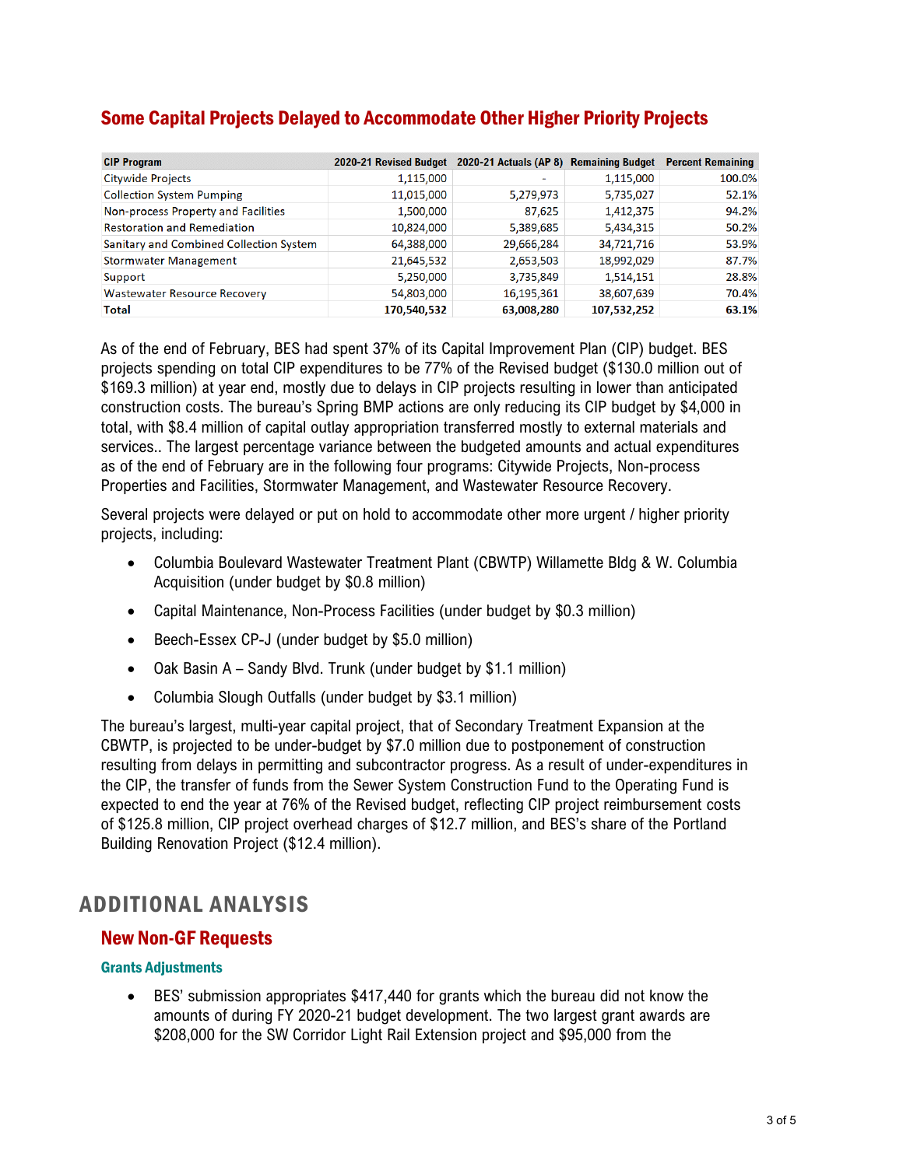| Some Capital Projects Delayed to Accommodate Other Higher Priority Projects |  |  |
|-----------------------------------------------------------------------------|--|--|
|                                                                             |  |  |

| <b>CIP Program</b>                      | 2020-21 Revised Budget | 2020-21 Actuals (AP 8) Remaining Budget |             | <b>Percent Remaining</b> |
|-----------------------------------------|------------------------|-----------------------------------------|-------------|--------------------------|
| <b>Citywide Projects</b>                | 1,115,000              | $\overline{\phantom{a}}$                | 1,115,000   | 100.0%                   |
| <b>Collection System Pumping</b>        | 11,015,000             | 5,279,973                               | 5,735,027   | 52.1%                    |
| Non-process Property and Facilities     | 1,500,000              | 87,625                                  | 1,412,375   | 94.2%                    |
| <b>Restoration and Remediation</b>      | 10,824,000             | 5,389,685                               | 5,434,315   | 50.2%                    |
| Sanitary and Combined Collection System | 64,388,000             | 29,666,284                              | 34,721,716  | 53.9%                    |
| <b>Stormwater Management</b>            | 21,645,532             | 2,653,503                               | 18,992,029  | 87.7%                    |
| Support                                 | 5,250,000              | 3,735,849                               | 1,514,151   | 28.8%                    |
| <b>Wastewater Resource Recovery</b>     | 54,803,000             | 16,195,361                              | 38,607,639  | 70.4%                    |
| <b>Total</b>                            | 170,540,532            | 63,008,280                              | 107,532,252 | 63.1%                    |

As of the end of February, BES had spent 37% of its Capital Improvement Plan (CIP) budget. BES projects spending on total CIP expenditures to be 77% of the Revised budget (\$130.0 million out of \$169.3 million) at year end, mostly due to delays in CIP projects resulting in lower than anticipated construction costs. The bureau's Spring BMP actions are only reducing its CIP budget by \$4,000 in total, with \$8.4 million of capital outlay appropriation transferred mostly to external materials and services.. The largest percentage variance between the budgeted amounts and actual expenditures as of the end of February are in the following four programs: Citywide Projects, Non-process Properties and Facilities, Stormwater Management, and Wastewater Resource Recovery.

Several projects were delayed or put on hold to accommodate other more urgent / higher priority projects, including:

- Columbia Boulevard Wastewater Treatment Plant (CBWTP) Willamette Bldg & W. Columbia Acquisition (under budget by \$0.8 million)
- Capital Maintenance, Non-Process Facilities (under budget by \$0.3 million)
- Beech-Essex CP-J (under budget by \$5.0 million)
- Oak Basin A Sandy Blvd. Trunk (under budget by \$1.1 million)
- Columbia Slough Outfalls (under budget by \$3.1 million)

The bureau's largest, multi-year capital project, that of Secondary Treatment Expansion at the CBWTP, is projected to be under-budget by \$7.0 million due to postponement of construction resulting from delays in permitting and subcontractor progress. As a result of under-expenditures in the CIP, the transfer of funds from the Sewer System Construction Fund to the Operating Fund is expected to end the year at 76% of the Revised budget, reflecting CIP project reimbursement costs of \$125.8 million, CIP project overhead charges of \$12.7 million, and BES's share of the Portland Building Renovation Project (\$12.4 million).

### ADDITIONAL ANALYSIS

#### New Non-GF Requests

#### Grants Adjustments

• BES' submission appropriates \$417,440 for grants which the bureau did not know the amounts of during FY 2020-21 budget development. The two largest grant awards are \$208,000 for the SW Corridor Light Rail Extension project and \$95,000 from the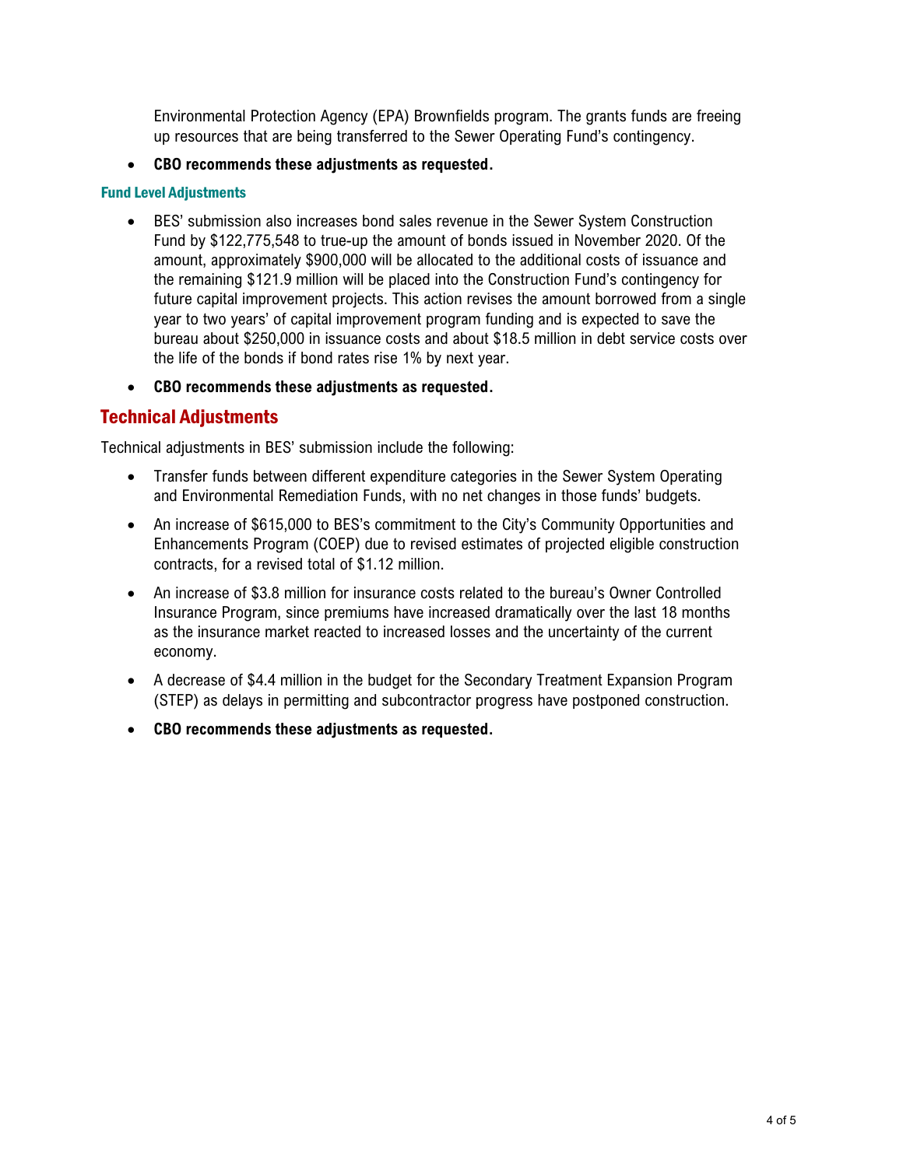Environmental Protection Agency (EPA) Brownfields program. The grants funds are freeing up resources that are being transferred to the Sewer Operating Fund's contingency.

• **CBO recommends these adjustments as requested.**

#### Fund Level Adjustments

- BES' submission also increases bond sales revenue in the Sewer System Construction Fund by \$122,775,548 to true-up the amount of bonds issued in November 2020. Of the amount, approximately \$900,000 will be allocated to the additional costs of issuance and the remaining \$121.9 million will be placed into the Construction Fund's contingency for future capital improvement projects. This action revises the amount borrowed from a single year to two years' of capital improvement program funding and is expected to save the bureau about \$250,000 in issuance costs and about \$18.5 million in debt service costs over the life of the bonds if bond rates rise 1% by next year.
- **CBO recommends these adjustments as requested.**

### Technical Adjustments

Technical adjustments in BES' submission include the following:

- Transfer funds between different expenditure categories in the Sewer System Operating and Environmental Remediation Funds, with no net changes in those funds' budgets.
- An increase of \$615,000 to BES's commitment to the City's Community Opportunities and Enhancements Program (COEP) due to revised estimates of projected eligible construction contracts, for a revised total of \$1.12 million.
- An increase of \$3.8 million for insurance costs related to the bureau's Owner Controlled Insurance Program, since premiums have increased dramatically over the last 18 months as the insurance market reacted to increased losses and the uncertainty of the current economy.
- A decrease of \$4.4 million in the budget for the Secondary Treatment Expansion Program (STEP) as delays in permitting and subcontractor progress have postponed construction.
- **CBO recommends these adjustments as requested.**